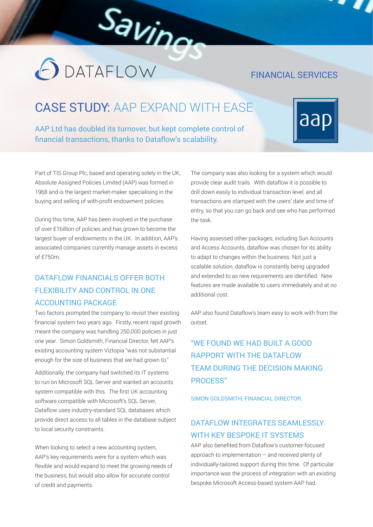#### FINANCIAL SERVICES

# CASE STUDY: AAP EXPAND WITH EASE

Savinge

AAP Ltd has doubled its turnover, but kept complete control of financial transactions, thanks to Dataflow's scalability.



Part of TIS Group Plc, based and operating solely in the UK, Absolute Assigned Policies Limited (AAP) was formed in 1968 and is the largest market-maker specialising in the buying and selling of with-profit endowment policies.

**O** DATAFLOW

During this time, AAP has been involved in the purchase of over £1billion of policies and has grown to become the largest buyer of endowments in the UK. In addition, AAP's associated companies currently manage assets in excess of £750m.

#### DATAFLOW FINANCIALS OFFER BOTH FLEXIBILITY AND CONTROL IN ONE ACCOUNTING PACKAGE

Two factors prompted the company to revisit their existing financial system two years ago. Firstly, recent rapid growth meant the company was handling 250,000 policies in just one year. Simon Goldsmith, Financial Director, felt AAP's existing accounting system Viztopia "was not substantial enough for the size of business that we had grown to."

Additionally, the company had switched its IT systems to run on Microsoft SQL Server and wanted an accounts system compatible with this. The first UK accounting software compatible with Microsoft's SQL Server, Dataflow uses industry-standard SQL databases which provide direct access to all tables in the database subject to local security constraints.

When looking to select a new accounting system, AAP's key requirements were for a system which was flexible and would expand to meet the growing needs of the business, but would also allow for accurate control of credit and payments.

The company was also looking for a system which would provide clear audit trails. With dataflow it is possible to drill down easily to individual transaction level, and all transactions are stamped with the users' date and time of entry, so that you can go back and see who has performed the task.

Having assessed other packages, including Sun Accounts and Access Accounts, dataflow was chosen for its ability to adapt to changes within the business. Not just a scalable solution, dataflow is constantly being upgraded and extended to as new requirements are identified. New features are made available to users immediately and at no additional cost.

AAP also found Dataflow's team easy to work with from the outset.

## "WE FOUND WE HAD BUILT A GOOD RAPPORT WITH THE DATAFLOW TEAM DURING THE DECISION MAKING PROCESS"

SIMON GOLDSMITH, FINANCIAL DIRECTOR.

#### DATAFLOW INTEGRATES SEAMLESSLY WITH KEY BESPOKE IT SYSTEMS

AAP also benefited from Dataflow's customer-focused approach to implementation – and received plenty of individually-tailored support during this time. Of particular importance was the process of integration with an existing bespoke Microsoft Access-based system AAP had.